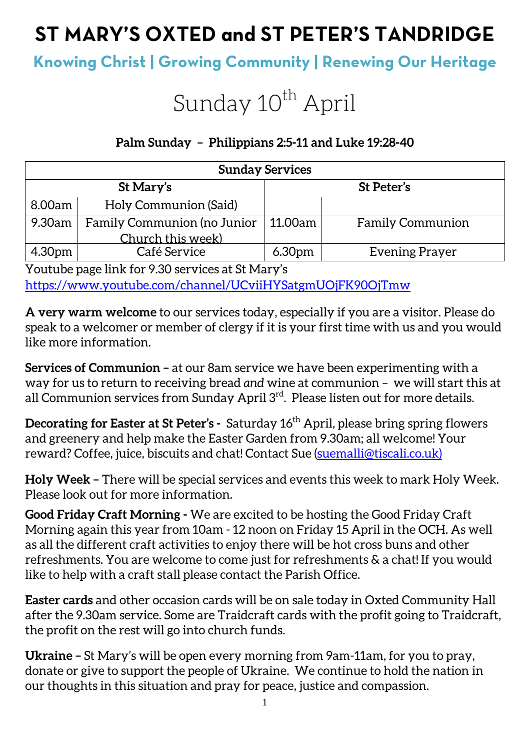## **ST MARY'S OXTED and ST PETER'S TANDRIDGE**

### **Knowing Christ | Growing Community | Renewing Our Heritage**

# Sunday 10<sup>th</sup> April

#### **Palm Sunday – Philippians 2:5-11 and Luke 19:28-40**

| <b>Sunday Services</b> |                                    |                    |                         |  |
|------------------------|------------------------------------|--------------------|-------------------------|--|
| St Mary's              |                                    | St Peter's         |                         |  |
| 8.00am                 | Holy Communion (Said)              |                    |                         |  |
| 9.30am                 | <b>Family Communion (no Junior</b> | 11.00am            | <b>Family Communion</b> |  |
|                        | Church this week)                  |                    |                         |  |
| 4.30pm                 | Café Service                       | 6.30 <sub>pm</sub> | <b>Evening Prayer</b>   |  |

Youtube page link for 9.30 services at St Mary's https://www.youtube.com/channel/UCviiHYSatgmUOjFK90OjTmw

**A very warm welcome** to our services today, especially if you are a visitor. Please do speak to a welcomer or member of clergy if it is your first time with us and you would like more information.

**Services of Communion –** at our 8am service we have been experimenting with a way for us to return to receiving bread *and* wine at communion – we will start this at all Communion services from Sunday April 3rd. Please listen out for more details.

**Decorating for Easter at St Peter's -** Saturday 16<sup>th</sup> April, please bring spring flowers and greenery and help make the Easter Garden from 9.30am; all welcome! Your reward? Coffee, juice, biscuits and chat! Contact Sue (suemalli@tiscali.co.uk)

**Holy Week –** There will be special services and events this week to mark Holy Week. Please look out for more information.

**Good Friday Craft Morning -** We are excited to be hosting the Good Friday Craft Morning again this year from 10am - 12 noon on Friday 15 April in the OCH. As well as all the different craft activities to enjoy there will be hot cross buns and other refreshments. You are welcome to come just for refreshments & a chat! If you would like to help with a craft stall please contact the Parish Office.

**Easter cards** and other occasion cards will be on sale today in Oxted Community Hall after the 9.30am service. Some are Traidcraft cards with the profit going to Traidcraft, the profit on the rest will go into church funds.

**Ukraine –** St Mary's will be open every morning from 9am-11am, for you to pray, donate or give to support the people of Ukraine. We continue to hold the nation in our thoughts in this situation and pray for peace, justice and compassion.